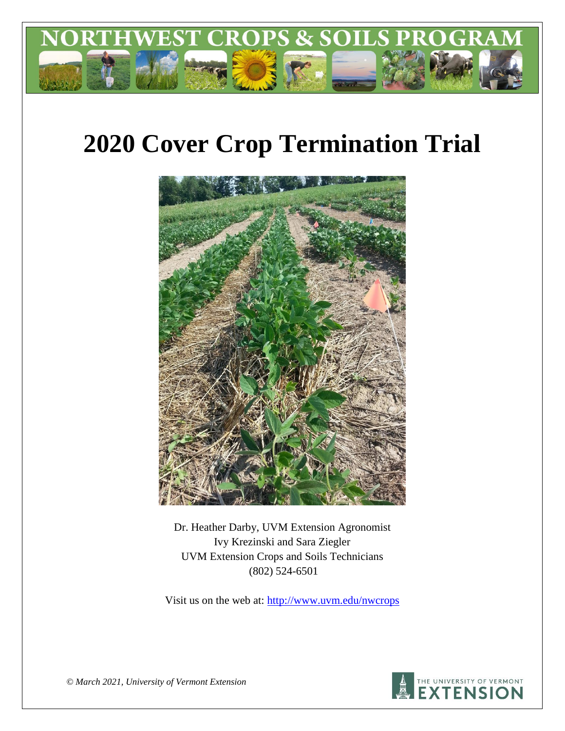

# **2020 Cover Crop Termination Trial**



Dr. Heather Darby, UVM Extension Agronomist Ivy Krezinski and Sara Ziegler UVM Extension Crops and Soils Technicians (802) 524-6501

Visit us on the web at: <http://www.uvm.edu/nwcrops>



*© March 2021, University of Vermont Extension*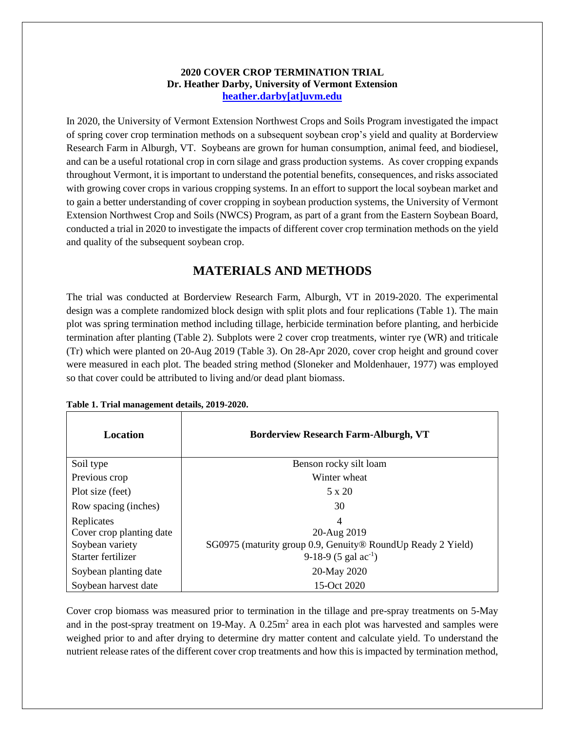## **2020 COVER CROP TERMINATION TRIAL Dr. Heather Darby, University of Vermont Extension [heather.darby\[at\]uvm.edu](mailto:heather.darby@uvm.edu?subject=2012%20Short%20Season%20Corn%20Report)**

In 2020, the University of Vermont Extension Northwest Crops and Soils Program investigated the impact of spring cover crop termination methods on a subsequent soybean crop's yield and quality at Borderview Research Farm in Alburgh, VT. Soybeans are grown for human consumption, animal feed, and biodiesel, and can be a useful rotational crop in corn silage and grass production systems. As cover cropping expands throughout Vermont, it is important to understand the potential benefits, consequences, and risks associated with growing cover crops in various cropping systems. In an effort to support the local soybean market and to gain a better understanding of cover cropping in soybean production systems, the University of Vermont Extension Northwest Crop and Soils (NWCS) Program, as part of a grant from the Eastern Soybean Board, conducted a trial in 2020 to investigate the impacts of different cover crop termination methods on the yield and quality of the subsequent soybean crop.

# **MATERIALS AND METHODS**

The trial was conducted at Borderview Research Farm, Alburgh, VT in 2019-2020. The experimental design was a complete randomized block design with split plots and four replications (Table 1). The main plot was spring termination method including tillage, herbicide termination before planting, and herbicide termination after planting (Table 2). Subplots were 2 cover crop treatments, winter rye (WR) and triticale (Tr) which were planted on 20-Aug 2019 (Table 3). On 28-Apr 2020, cover crop height and ground cover were measured in each plot. The beaded string method (Sloneker and Moldenhauer, 1977) was employed so that cover could be attributed to living and/or dead plant biomass.

| Location                 | <b>Borderview Research Farm-Alburgh, VT</b>                 |
|--------------------------|-------------------------------------------------------------|
| Soil type                | Benson rocky silt loam                                      |
| Previous crop            | Winter wheat                                                |
| Plot size (feet)         | $5 \times 20$                                               |
| Row spacing (inches)     | 30                                                          |
| Replicates               | 4                                                           |
| Cover crop planting date | 20-Aug 2019                                                 |
| Soybean variety          | SG0975 (maturity group 0.9, Genuity® RoundUp Ready 2 Yield) |
| Starter fertilizer       | 9-18-9 $(5 \text{ gal } ac^{-1})$                           |
| Soybean planting date    | 20-May 2020                                                 |
| Soybean harvest date     | 15-Oct 2020                                                 |

**Table 1. Trial management details, 2019-2020.**

Cover crop biomass was measured prior to termination in the tillage and pre-spray treatments on 5-May and in the post-spray treatment on 19-May. A  $0.25m<sup>2</sup>$  area in each plot was harvested and samples were weighed prior to and after drying to determine dry matter content and calculate yield. To understand the nutrient release rates of the different cover crop treatments and how this is impacted by termination method,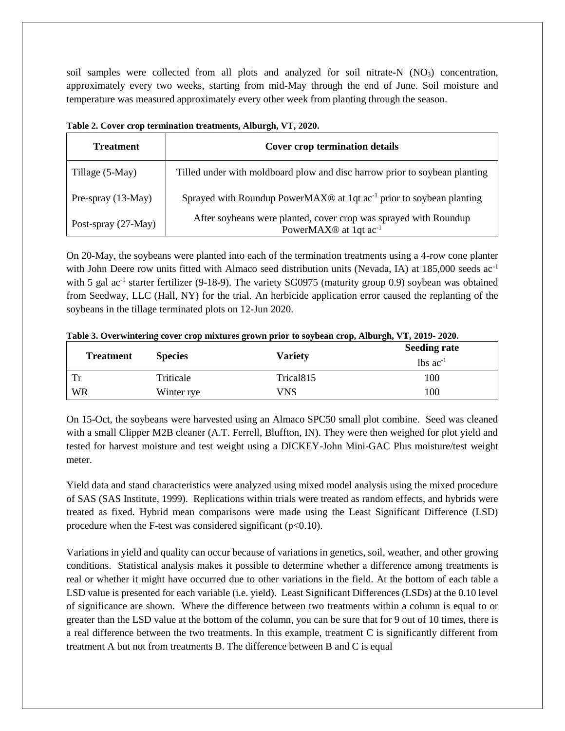soil samples were collected from all plots and analyzed for soil nitrate-N  $(NO<sub>3</sub>)$  concentration, approximately every two weeks, starting from mid-May through the end of June. Soil moisture and temperature was measured approximately every other week from planting through the season.

| <b>Treatment</b>    | <b>Cover crop termination details</b>                                                                             |
|---------------------|-------------------------------------------------------------------------------------------------------------------|
| Tillage (5-May)     | Tilled under with moldboard plow and disc harrow prior to soybean planting                                        |
| Pre-spray (13-May)  | Sprayed with Roundup PowerMAX $\otimes$ at 1qt ac <sup>-1</sup> prior to soybean planting                         |
| Post-spray (27-May) | After soybeans were planted, cover crop was sprayed with Roundup<br>PowerMAX <sup>®</sup> at 1qt ac <sup>-1</sup> |

**Table 2. Cover crop termination treatments, Alburgh, VT, 2020.**

On 20-May, the soybeans were planted into each of the termination treatments using a 4-row cone planter with John Deere row units fitted with Almaco seed distribution units (Nevada, IA) at 185,000 seeds ac<sup>-1</sup> with 5 gal ac<sup>-1</sup> starter fertilizer (9-18-9). The variety SG0975 (maturity group 0.9) soybean was obtained from Seedway, LLC (Hall, NY) for the trial. An herbicide application error caused the replanting of the soybeans in the tillage terminated plots on 12-Jun 2020.

|  |  | Table 3. Overwintering cover crop mixtures grown prior to soybean crop, Alburgh, VT, 2019-2020. |  |
|--|--|-------------------------------------------------------------------------------------------------|--|
|  |  |                                                                                                 |  |

|                  |                |                       | <b>Seeding rate</b>            |
|------------------|----------------|-----------------------|--------------------------------|
| <b>Treatment</b> | <b>Species</b> | <b>Variety</b>        | $\lambda$ lbs ac <sup>-1</sup> |
| Tr               | Triticale      | Trical <sub>815</sub> | 100                            |
| <b>WR</b>        | Winter rye     | VNS                   | 100                            |

On 15-Oct, the soybeans were harvested using an Almaco SPC50 small plot combine. Seed was cleaned with a small Clipper M2B cleaner (A.T. Ferrell, Bluffton, IN). They were then weighed for plot yield and tested for harvest moisture and test weight using a DICKEY-John Mini-GAC Plus moisture/test weight meter.

Yield data and stand characteristics were analyzed using mixed model analysis using the mixed procedure of SAS (SAS Institute, 1999). Replications within trials were treated as random effects, and hybrids were treated as fixed. Hybrid mean comparisons were made using the Least Significant Difference (LSD) procedure when the F-test was considered significant  $(p<0.10)$ .

Variations in yield and quality can occur because of variations in genetics, soil, weather, and other growing conditions. Statistical analysis makes it possible to determine whether a difference among treatments is real or whether it might have occurred due to other variations in the field. At the bottom of each table a LSD value is presented for each variable (i.e. yield). Least Significant Differences (LSDs) at the 0.10 level of significance are shown. Where the difference between two treatments within a column is equal to or greater than the LSD value at the bottom of the column, you can be sure that for 9 out of 10 times, there is a real difference between the two treatments. In this example, treatment C is significantly different from treatment A but not from treatments B. The difference between B and C is equal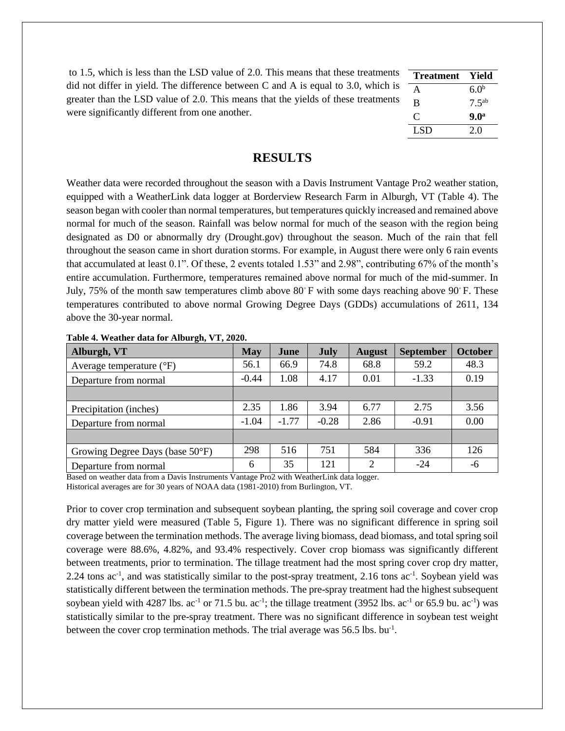| to 1.5, which is less than the LSD value of 2.0. This means that these treatments | <b>Treatment</b> | - Yield             |
|-----------------------------------------------------------------------------------|------------------|---------------------|
| did not differ in yield. The difference between C and A is equal to 3.0, which is |                  | 60 <sup>b</sup>     |
| greater than the LSD value of 2.0. This means that the yields of these treatments |                  | $7.5$ <sup>ab</sup> |
| were significantly different from one another.                                    | $\Gamma$         | 9.0 <sup>a</sup>    |
|                                                                                   | LSD.             | 2.0                 |

## **RESULTS**

Weather data were recorded throughout the season with a Davis Instrument Vantage Pro2 weather station, equipped with a WeatherLink data logger at Borderview Research Farm in Alburgh, VT (Table 4). The season began with cooler than normal temperatures, but temperatures quickly increased and remained above normal for much of the season. Rainfall was below normal for much of the season with the region being designated as D0 or abnormally dry (Drought.gov) throughout the season. Much of the rain that fell throughout the season came in short duration storms. For example, in August there were only 6 rain events that accumulated at least 0.1". Of these, 2 events totaled 1.53" and 2.98", contributing 67% of the month's entire accumulation. Furthermore, temperatures remained above normal for much of the mid-summer. In July, 75% of the month saw temperatures climb above  $80°$  F with some days reaching above  $90°$  F. These temperatures contributed to above normal Growing Degree Days (GDDs) accumulations of 2611, 134 above the 30-year normal.

| Alburgh, VT                         | <b>May</b> | June    | July    | <b>August</b> | <b>September</b> | <b>October</b> |
|-------------------------------------|------------|---------|---------|---------------|------------------|----------------|
| Average temperature $({}^{\circ}F)$ | 56.1       | 66.9    | 74.8    | 68.8          | 59.2             | 48.3           |
| Departure from normal               | $-0.44$    | 1.08    | 4.17    | 0.01          | $-1.33$          | 0.19           |
|                                     |            |         |         |               |                  |                |
| Precipitation (inches)              | 2.35       | 1.86    | 3.94    | 6.77          | 2.75             | 3.56           |
| Departure from normal               | $-1.04$    | $-1.77$ | $-0.28$ | 2.86          | $-0.91$          | 0.00           |
|                                     |            |         |         |               |                  |                |
| Growing Degree Days (base 50°F)     | 298        | 516     | 751     | 584           | 336              | 126            |
| Departure from normal               | 6          | 35      | 121     | 2             | $-24$            | -6             |

**Table 4. Weather data for Alburgh, VT, 2020.**

Based on weather data from a Davis Instruments Vantage Pro2 with WeatherLink data logger. Historical averages are for 30 years of NOAA data (1981-2010) from Burlington, VT.

Prior to cover crop termination and subsequent soybean planting, the spring soil coverage and cover crop dry matter yield were measured (Table 5, Figure 1). There was no significant difference in spring soil coverage between the termination methods. The average living biomass, dead biomass, and total spring soil coverage were 88.6%, 4.82%, and 93.4% respectively. Cover crop biomass was significantly different between treatments, prior to termination. The tillage treatment had the most spring cover crop dry matter, 2.24 tons ac<sup>-1</sup>, and was statistically similar to the post-spray treatment, 2.16 tons ac<sup>-1</sup>. Soybean yield was statistically different between the termination methods. The pre-spray treatment had the highest subsequent soybean yield with 4287 lbs.  $ac^{-1}$  or 71.5 bu.  $ac^{-1}$ ; the tillage treatment (3952 lbs.  $ac^{-1}$  or 65.9 bu.  $ac^{-1}$ ) was statistically similar to the pre-spray treatment. There was no significant difference in soybean test weight between the cover crop termination methods. The trial average was  $56.5$  lbs. bu<sup>-1</sup>.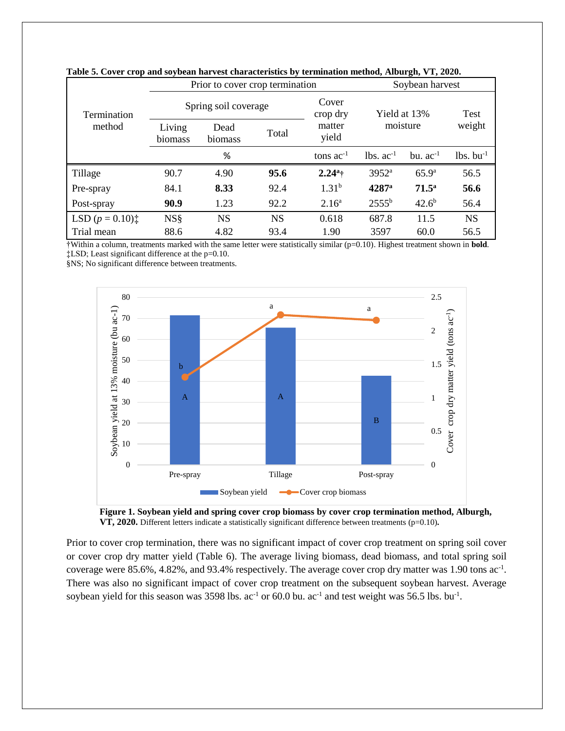|                                                   |                   | Prior to cover crop termination |           | Soybean harvest             |                |                   |                         |
|---------------------------------------------------|-------------------|---------------------------------|-----------|-----------------------------|----------------|-------------------|-------------------------|
| Termination                                       |                   | Spring soil coverage            |           | Cover<br>crop dry           | Yield at 13%   |                   | Test                    |
| method                                            | Living<br>biomass | Dead<br>biomass                 | Total     | moisture<br>matter<br>yield |                | weight            |                         |
|                                                   | %                 |                                 |           | tons $ac^{-1}$              | $lbs. ac-1$    | bu. $ac^{-1}$     | $lbs.$ bu <sup>-1</sup> |
| Tillage                                           | 90.7              | 4.90                            | 95.6      | $2.24^a$ †                  | $3952^{\rm a}$ | 65.9 <sup>a</sup> | 56.5                    |
| Pre-spray                                         | 84.1              | 8.33                            | 92.4      | $1.31^{b}$                  | $4287^{\rm a}$ | $71.5^{\circ}$    | 56.6                    |
| Post-spray                                        | 90.9              | 1.23                            | 92.2      | 2.16 <sup>a</sup>           | $2555^{\rm b}$ | 42.6 <sup>b</sup> | 56.4                    |
| LSD $(p = 0.10)$ <sup><math>\ddagger</math></sup> | <b>NS</b> §       | <b>NS</b>                       | <b>NS</b> | 0.618                       | 687.8          | 11.5              | <b>NS</b>               |
| Trial mean                                        | 88.6              | 4.82                            | 93.4      | 1.90                        | 3597           | 60.0              | 56.5                    |

**Table 5. Cover crop and soybean harvest characteristics by termination method, Alburgh, VT, 2020.**

†Within a column, treatments marked with the same letter were statistically similar (p=0.10). Highest treatment shown in **bold**. ‡LSD; Least significant difference at the p=0.10.

§NS; No significant difference between treatments.



**Figure 1. Soybean yield and spring cover crop biomass by cover crop termination method, Alburgh, VT, 2020.** Different letters indicate a statistically significant difference between treatments (p=0.10)**.**

Prior to cover crop termination, there was no significant impact of cover crop treatment on spring soil cover or cover crop dry matter yield (Table 6). The average living biomass, dead biomass, and total spring soil coverage were 85.6%, 4.82%, and 93.4% respectively. The average cover crop dry matter was 1.90 tons ac<sup>-1</sup>. There was also no significant impact of cover crop treatment on the subsequent soybean harvest. Average soybean yield for this season was  $3598$  lbs. ac<sup>-1</sup> or 60.0 bu. ac<sup>-1</sup> and test weight was 56.5 lbs. bu<sup>-1</sup>.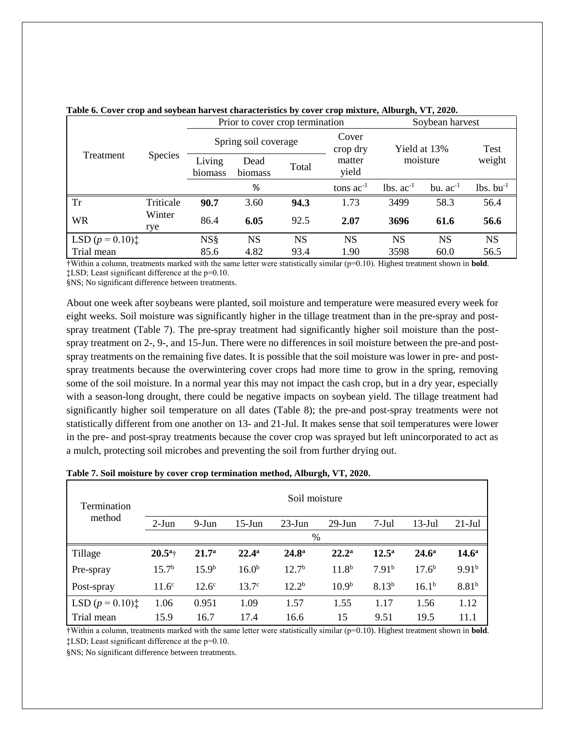|                                                   |                |                      | Prior to cover crop termination |       | Soybean harvest   |              |               |                         |  |
|---------------------------------------------------|----------------|----------------------|---------------------------------|-------|-------------------|--------------|---------------|-------------------------|--|
| Treatment                                         |                | Spring soil coverage |                                 |       | Cover<br>crop dry | Yield at 13% |               | Test                    |  |
|                                                   | <b>Species</b> | Living<br>biomass    | Dead<br>biomass                 | Total | matter<br>yield   | moisture     |               | weight                  |  |
|                                                   |                |                      | %                               |       | tons $ac^{-1}$    | $lbs. ac-1$  | bu. $ac^{-1}$ | $lbs.$ bu <sup>-1</sup> |  |
| <b>Tr</b>                                         | Triticale      | 90.7                 | 3.60                            | 94.3  | 1.73              | 3499         | 58.3          | 56.4                    |  |
| <b>WR</b>                                         | Winter<br>rye  | 86.4                 | 6.05                            | 92.5  | 2.07              | 3696         | 61.6          | 56.6                    |  |
| LSD $(p = 0.10)$ <sup><math>\ddagger</math></sup> |                | <b>NS</b> §          | <b>NS</b>                       | NS    | <b>NS</b>         | <b>NS</b>    | <b>NS</b>     | <b>NS</b>               |  |
| Trial mean                                        |                | 85.6                 | 4.82                            | 93.4  | 1.90              | 3598         | 60.0          | 56.5                    |  |

#### **Table 6. Cover crop and soybean harvest characteristics by cover crop mixture, Alburgh, VT, 2020.**

†Within a column, treatments marked with the same letter were statistically similar (p=0.10). Highest treatment shown in **bold**. ‡LSD; Least significant difference at the p=0.10.

§NS; No significant difference between treatments.

About one week after soybeans were planted, soil moisture and temperature were measured every week for eight weeks. Soil moisture was significantly higher in the tillage treatment than in the pre-spray and postspray treatment (Table 7). The pre-spray treatment had significantly higher soil moisture than the postspray treatment on 2-, 9-, and 15-Jun. There were no differences in soil moisture between the pre-and postspray treatments on the remaining five dates. It is possible that the soil moisture was lower in pre- and postspray treatments because the overwintering cover crops had more time to grow in the spring, removing some of the soil moisture. In a normal year this may not impact the cash crop, but in a dry year, especially with a season-long drought, there could be negative impacts on soybean yield. The tillage treatment had significantly higher soil temperature on all dates (Table 8); the pre-and post-spray treatments were not statistically different from one another on 13- and 21-Jul. It makes sense that soil temperatures were lower in the pre- and post-spray treatments because the cover crop was sprayed but left unincorporated to act as a mulch, protecting soil microbes and preventing the soil from further drying out.

| Termination                                       |                   |                   |                   | Soil moisture     |                   |                   |                   |                   |
|---------------------------------------------------|-------------------|-------------------|-------------------|-------------------|-------------------|-------------------|-------------------|-------------------|
| method                                            | $2-Jun$           | $9-Jun$           | $15$ -Jun         | $23$ -Jun         | $29$ -Jun         | $7-Jul$           | $13$ -Jul         | $21$ -Jul         |
|                                                   |                   |                   |                   | %                 |                   |                   |                   |                   |
| Tillage                                           | $20.5^{\rm a}$ †  | 21.7 <sup>a</sup> | $22.4^{\rm a}$    | $24.8^{\rm a}$    | $22.2^{\rm a}$    | $12.5^{\rm a}$    | 24.6 <sup>a</sup> | 14.6 <sup>a</sup> |
| Pre-spray                                         | 15.7 <sup>b</sup> | 15.9 <sup>b</sup> | 16.0 <sup>b</sup> | 12.7 <sup>b</sup> | $11.8^{b}$        | 7.91 <sup>b</sup> | $17.6^{b}$        | 9.91 <sup>b</sup> |
| Post-spray                                        | 11.6 <sup>c</sup> | $12.6^\circ$      | 13.7 <sup>c</sup> | $12.2^{b}$        | 10.9 <sup>b</sup> | $8.13^{b}$        | $16.1^{b}$        | $8.81^{b}$        |
| LSD $(p = 0.10)$ <sup><math>\ddagger</math></sup> | 1.06              | 0.951             | 1.09              | 1.57              | 1.55              | 1.17              | 1.56              | 1.12              |
| Trial mean                                        | 15.9              | 16.7              | 17.4              | 16.6              | 15                | 9.51              | 19.5              | 11.1              |

#### **Table 7. Soil moisture by cover crop termination method, Alburgh, VT, 2020.**

†Within a column, treatments marked with the same letter were statistically similar (p=0.10). Highest treatment shown in **bold**. ‡LSD; Least significant difference at the p=0.10.

§NS; No significant difference between treatments.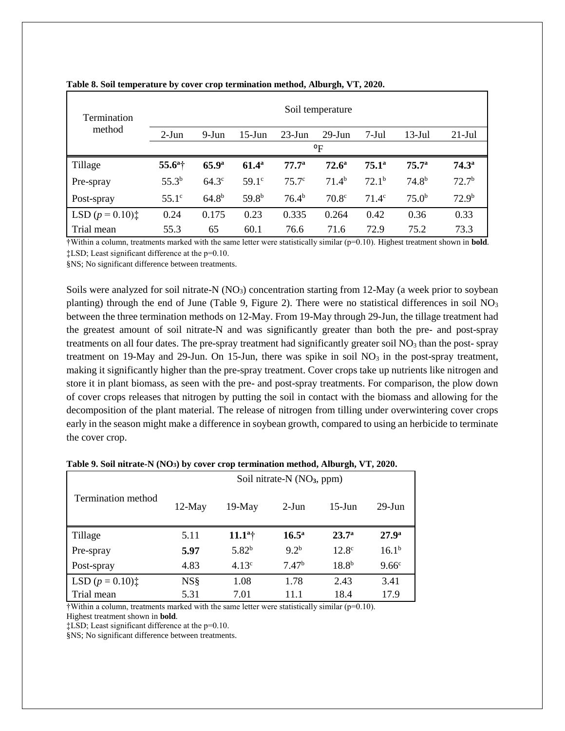| Termination                                       |                     |                   |                   |                   | Soil temperature  |                   |                   |                   |
|---------------------------------------------------|---------------------|-------------------|-------------------|-------------------|-------------------|-------------------|-------------------|-------------------|
| method                                            | $2-Jun$             | 9-Jun             | $15$ -Jun         | $23$ -Jun         | $29$ -Jun         | $7-Jul$           | $13$ -Jul         | $21$ -Jul         |
|                                                   |                     |                   |                   |                   | $\rm ^oF$         |                   |                   |                   |
| Tillage                                           | 55.6 <sup>a</sup> † | 65.9 <sup>a</sup> | $61.4^{\rm a}$    | $77.7^{\circ}$    | $72.6^{\circ}$    | $75.1^{\circ}$    | 75.7 <sup>a</sup> | $74.3^{\circ}$    |
| Pre-spray                                         | 55.3 <sup>b</sup>   | $64.3^\circ$      | 59.1 <sup>c</sup> | 75.7 <sup>c</sup> | 71.4 <sup>b</sup> | 72.1 <sup>b</sup> | 74.8 <sup>b</sup> | 72.7 <sup>b</sup> |
| Post-spray                                        | $55.1^\circ$        | $64.8^{b}$        | 59.8 <sup>b</sup> | 76.4 <sup>b</sup> | 70.8 <sup>c</sup> | $71.4^{\circ}$    | 75.0 <sup>b</sup> | 72.9 <sup>b</sup> |
| LSD $(p = 0.10)$ <sup><math>\ddagger</math></sup> | 0.24                | 0.175             | 0.23              | 0.335             | 0.264             | 0.42              | 0.36              | 0.33              |
| Trial mean                                        | 55.3                | 65                | 60.1              | 76.6              | 71.6              | 72.9              | 75.2              | 73.3              |

## **Table 8. Soil temperature by cover crop termination method, Alburgh, VT, 2020.**

†Within a column, treatments marked with the same letter were statistically similar (p=0.10). Highest treatment shown in **bold**. ‡LSD; Least significant difference at the p=0.10.

§NS; No significant difference between treatments.

Soils were analyzed for soil nitrate-N  $(NO<sub>3</sub>)$  concentration starting from 12-May (a week prior to soybean planting) through the end of June (Table 9, Figure 2). There were no statistical differences in soil  $NO<sub>3</sub>$ between the three termination methods on 12-May. From 19-May through 29-Jun, the tillage treatment had the greatest amount of soil nitrate-N and was significantly greater than both the pre- and post-spray treatments on all four dates. The pre-spray treatment had significantly greater soil  $NO<sub>3</sub>$  than the post- spray treatment on 19-May and 29-Jun. On 15-Jun, there was spike in soil  $NO<sub>3</sub>$  in the post-spray treatment, making it significantly higher than the pre-spray treatment. Cover crops take up nutrients like nitrogen and store it in plant biomass, as seen with the pre- and post-spray treatments. For comparison, the plow down of cover crops releases that nitrogen by putting the soil in contact with the biomass and allowing for the decomposition of the plant material. The release of nitrogen from tilling under overwintering cover crops early in the season might make a difference in soybean growth, compared to using an herbicide to terminate the cover crop.

|                    | Soil nitrate-N (NO <sub>3</sub> , ppm) |                  |                   |                   |                   |  |  |  |
|--------------------|----------------------------------------|------------------|-------------------|-------------------|-------------------|--|--|--|
| Termination method | $12-May$                               | $19-May$         | $2-J$ un          | $15$ -Jun         | $29$ -Jun         |  |  |  |
| Tillage            | 5.11                                   | $11.1^{\circ +}$ | $16.5^{\circ}$    | 23.7 <sup>a</sup> | 27.9 <sup>a</sup> |  |  |  |
| Pre-spray          | 5.97                                   | $5.82^{b}$       | $9.2^{b}$         | $12.8^{\circ}$    | $16.1^{b}$        |  |  |  |
| Post-spray         | 4.83                                   | 4.13c            | 7.47 <sup>b</sup> | $18.8^{b}$        | 9.66 <sup>c</sup> |  |  |  |
| LSD $(p = 0.10)$ : | <b>NS</b> §                            | 1.08             | 1.78              | 2.43              | 3.41              |  |  |  |
| Trial mean         | 5.31                                   | 7.01             | 11 1              | 18.4              | 17.9              |  |  |  |

|  |  | Table 9. Soil nitrate-N (NO <sub>3</sub> ) by cover crop termination method, Alburgh, VT, 2020. |  |  |
|--|--|-------------------------------------------------------------------------------------------------|--|--|
|  |  |                                                                                                 |  |  |

 $\dagger$ Within a column, treatments marked with the same letter were statistically similar ( $p=0.10$ ).

Highest treatment shown in **bold**.

‡LSD; Least significant difference at the p=0.10.

§NS; No significant difference between treatments.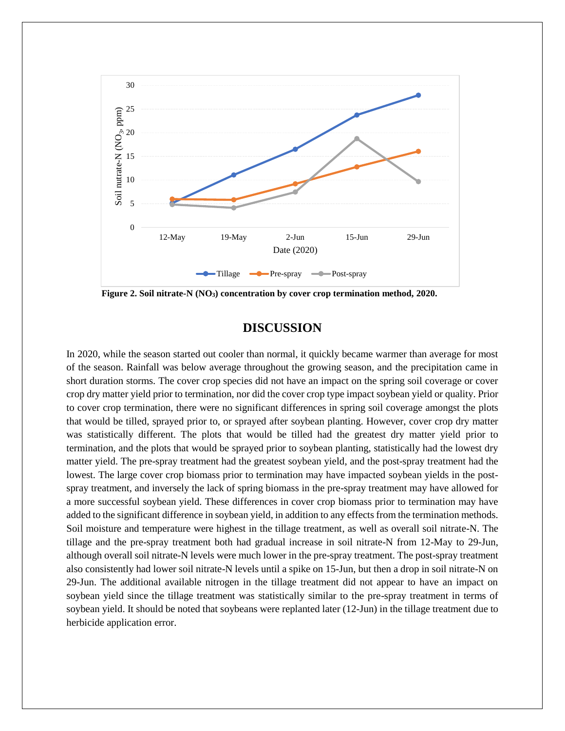

**Figure 2. Soil nitrate-N (NO3) concentration by cover crop termination method, 2020.**

# **DISCUSSION**

In 2020, while the season started out cooler than normal, it quickly became warmer than average for most of the season. Rainfall was below average throughout the growing season, and the precipitation came in short duration storms. The cover crop species did not have an impact on the spring soil coverage or cover crop dry matter yield prior to termination, nor did the cover crop type impact soybean yield or quality. Prior to cover crop termination, there were no significant differences in spring soil coverage amongst the plots that would be tilled, sprayed prior to, or sprayed after soybean planting. However, cover crop dry matter was statistically different. The plots that would be tilled had the greatest dry matter yield prior to termination, and the plots that would be sprayed prior to soybean planting, statistically had the lowest dry matter yield. The pre-spray treatment had the greatest soybean yield, and the post-spray treatment had the lowest. The large cover crop biomass prior to termination may have impacted soybean yields in the postspray treatment, and inversely the lack of spring biomass in the pre-spray treatment may have allowed for a more successful soybean yield. These differences in cover crop biomass prior to termination may have added to the significant difference in soybean yield, in addition to any effects from the termination methods. Soil moisture and temperature were highest in the tillage treatment, as well as overall soil nitrate-N. The tillage and the pre-spray treatment both had gradual increase in soil nitrate-N from 12-May to 29-Jun, although overall soil nitrate-N levels were much lower in the pre-spray treatment. The post-spray treatment also consistently had lower soil nitrate-N levels until a spike on 15-Jun, but then a drop in soil nitrate-N on 29-Jun. The additional available nitrogen in the tillage treatment did not appear to have an impact on soybean yield since the tillage treatment was statistically similar to the pre-spray treatment in terms of soybean yield. It should be noted that soybeans were replanted later (12-Jun) in the tillage treatment due to herbicide application error.